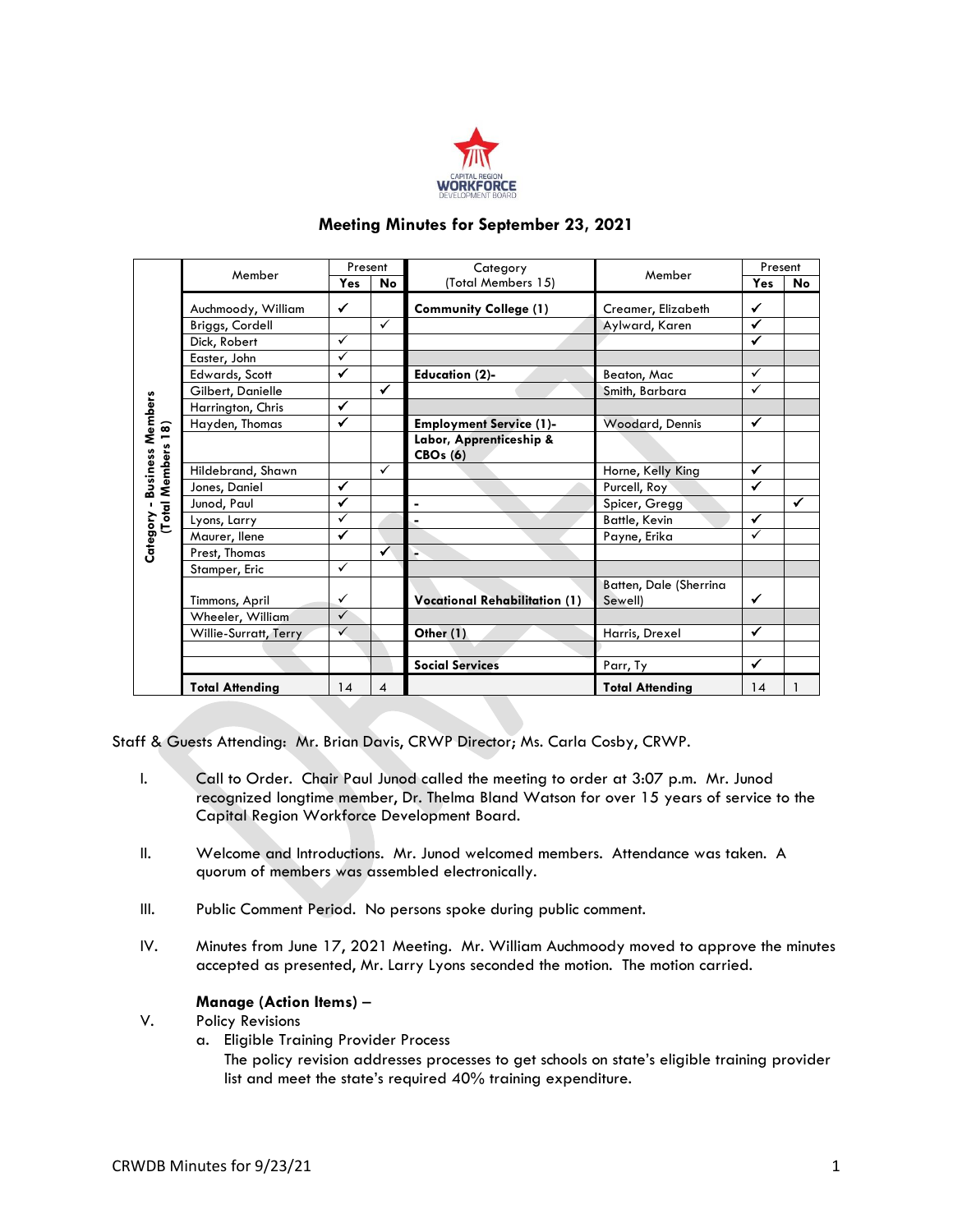

# **Meeting Minutes for September 23, 2021**

|                                               | Member                 | Present      |              | Category                                   | Member                            | Present      |              |
|-----------------------------------------------|------------------------|--------------|--------------|--------------------------------------------|-----------------------------------|--------------|--------------|
|                                               |                        | Yes          | No           | (Total Members 15)                         |                                   | Yes          | No           |
|                                               | Auchmoody, William     | $\checkmark$ |              | <b>Community College (1)</b>               | Creamer, Elizabeth                | ✔            |              |
|                                               | Briggs, Cordell        |              | $\checkmark$ |                                            | Aylward, Karen                    | ✔            |              |
|                                               | Dick, Robert           | $\checkmark$ |              |                                            |                                   | $\checkmark$ |              |
|                                               | Easter, John           | ✓            |              |                                            |                                   |              |              |
|                                               | Edwards, Scott         | ✓            |              | <b>Education (2)-</b>                      | Beaton, Mac                       | $\checkmark$ |              |
| <b>Business Members</b><br>(Total Members 18) | Gilbert, Danielle      |              | ✓            |                                            | Smith, Barbara                    | $\checkmark$ |              |
|                                               | Harrington, Chris      | ✓            |              |                                            |                                   |              |              |
|                                               | Hayden, Thomas         | ✓            |              | <b>Employment Service (1)-</b>             | Woodard, Dennis                   | ✔            |              |
|                                               |                        |              |              | Labor, Apprenticeship &<br><b>CBOs (6)</b> |                                   |              |              |
|                                               | Hildebrand, Shawn      |              | $\checkmark$ |                                            | Horne, Kelly King                 | $\checkmark$ |              |
|                                               | Jones, Daniel          | ✓            |              |                                            | Purcell, Roy                      | ✔            |              |
|                                               | Junod, Paul            | ✓            |              | ä,                                         | Spicer, Gregg                     |              | $\checkmark$ |
|                                               | Lyons, Larry           | ✓            |              | ä,                                         | Battle, Kevin                     | ✓            |              |
|                                               | Maurer, llene          | ✓            |              |                                            | Payne, Erika                      | $\checkmark$ |              |
| Category -                                    | Prest, Thomas          |              | ✓            | V.                                         |                                   |              |              |
|                                               | Stamper, Eric          | ✓            |              |                                            |                                   |              |              |
|                                               | Timmons, April         | ✓            |              | <b>Vocational Rehabilitation (1)</b>       | Batten, Dale (Sherrina<br>Sewell) | ✓            |              |
|                                               | Wheeler, William       | $\checkmark$ |              |                                            |                                   |              |              |
|                                               | Willie-Surratt, Terry  | ✓            |              | Other (1)                                  | Harris, Drexel                    | ✓            |              |
|                                               |                        |              |              |                                            |                                   |              |              |
|                                               |                        |              |              | <b>Social Services</b>                     | Parr, Ty                          | ✔            |              |
|                                               | <b>Total Attending</b> | 14           | 4            |                                            | <b>Total Attending</b>            | 14           | 1            |

Staff & Guests Attending: Mr. Brian Davis, CRWP Director; Ms. Carla Cosby, CRWP.

- I. Call to Order. Chair Paul Junod called the meeting to order at 3:07 p.m. Mr. Junod recognized longtime member, Dr. Thelma Bland Watson for over 15 years of service to the Capital Region Workforce Development Board.
- II. Welcome and Introductions. Mr. Junod welcomed members. Attendance was taken. A quorum of members was assembled electronically.
- III. Public Comment Period. No persons spoke during public comment.
- IV. Minutes from June 17, 2021 Meeting. Mr. William Auchmoody moved to approve the minutes accepted as presented, Mr. Larry Lyons seconded the motion. The motion carried.

## **Manage (Action Items)** –

- V. Policy Revisions
	- a. Eligible Training Provider Process

The policy revision addresses processes to get schools on state's eligible training provider list and meet the state's required 40% training expenditure.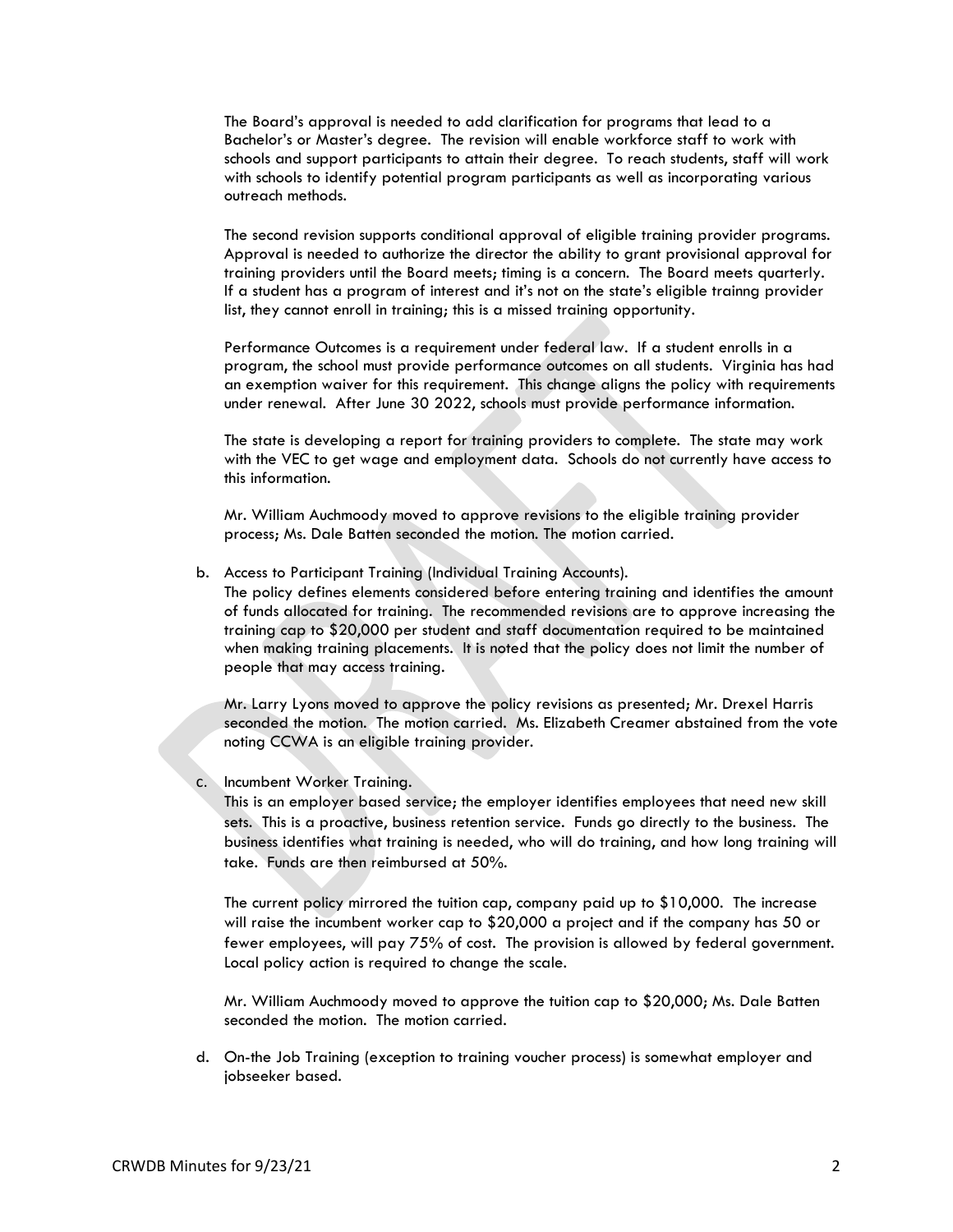The Board's approval is needed to add clarification for programs that lead to a Bachelor's or Master's degree. The revision will enable workforce staff to work with schools and support participants to attain their degree. To reach students, staff will work with schools to identify potential program participants as well as incorporating various outreach methods.

The second revision supports conditional approval of eligible training provider programs. Approval is needed to authorize the director the ability to grant provisional approval for training providers until the Board meets; timing is a concern. The Board meets quarterly. If a student has a program of interest and it's not on the state's eligible trainng provider list, they cannot enroll in training; this is a missed training opportunity.

Performance Outcomes is a requirement under federal law. If a student enrolls in a program, the school must provide performance outcomes on all students. Virginia has had an exemption waiver for this requirement. This change aligns the policy with requirements under renewal. After June 30 2022, schools must provide performance information.

The state is developing a report for training providers to complete. The state may work with the VEC to get wage and employment data. Schools do not currently have access to this information.

Mr. William Auchmoody moved to approve revisions to the eligible training provider process; Ms. Dale Batten seconded the motion. The motion carried.

b. Access to Participant Training (Individual Training Accounts).

The policy defines elements considered before entering training and identifies the amount of funds allocated for training. The recommended revisions are to approve increasing the training cap to \$20,000 per student and staff documentation required to be maintained when making training placements. It is noted that the policy does not limit the number of people that may access training.

Mr. Larry Lyons moved to approve the policy revisions as presented; Mr. Drexel Harris seconded the motion. The motion carried. Ms. Elizabeth Creamer abstained from the vote noting CCWA is an eligible training provider.

c. Incumbent Worker Training.

This is an employer based service; the employer identifies employees that need new skill sets. This is a proactive, business retention service. Funds go directly to the business. The business identifies what training is needed, who will do training, and how long training will take. Funds are then reimbursed at 50%.

The current policy mirrored the tuition cap, company paid up to \$10,000. The increase will raise the incumbent worker cap to \$20,000 a project and if the company has 50 or fewer employees, will pay 75% of cost. The provision is allowed by federal government. Local policy action is required to change the scale.

Mr. William Auchmoody moved to approve the tuition cap to \$20,000; Ms. Dale Batten seconded the motion. The motion carried.

d. On-the Job Training (exception to training voucher process) is somewhat employer and jobseeker based.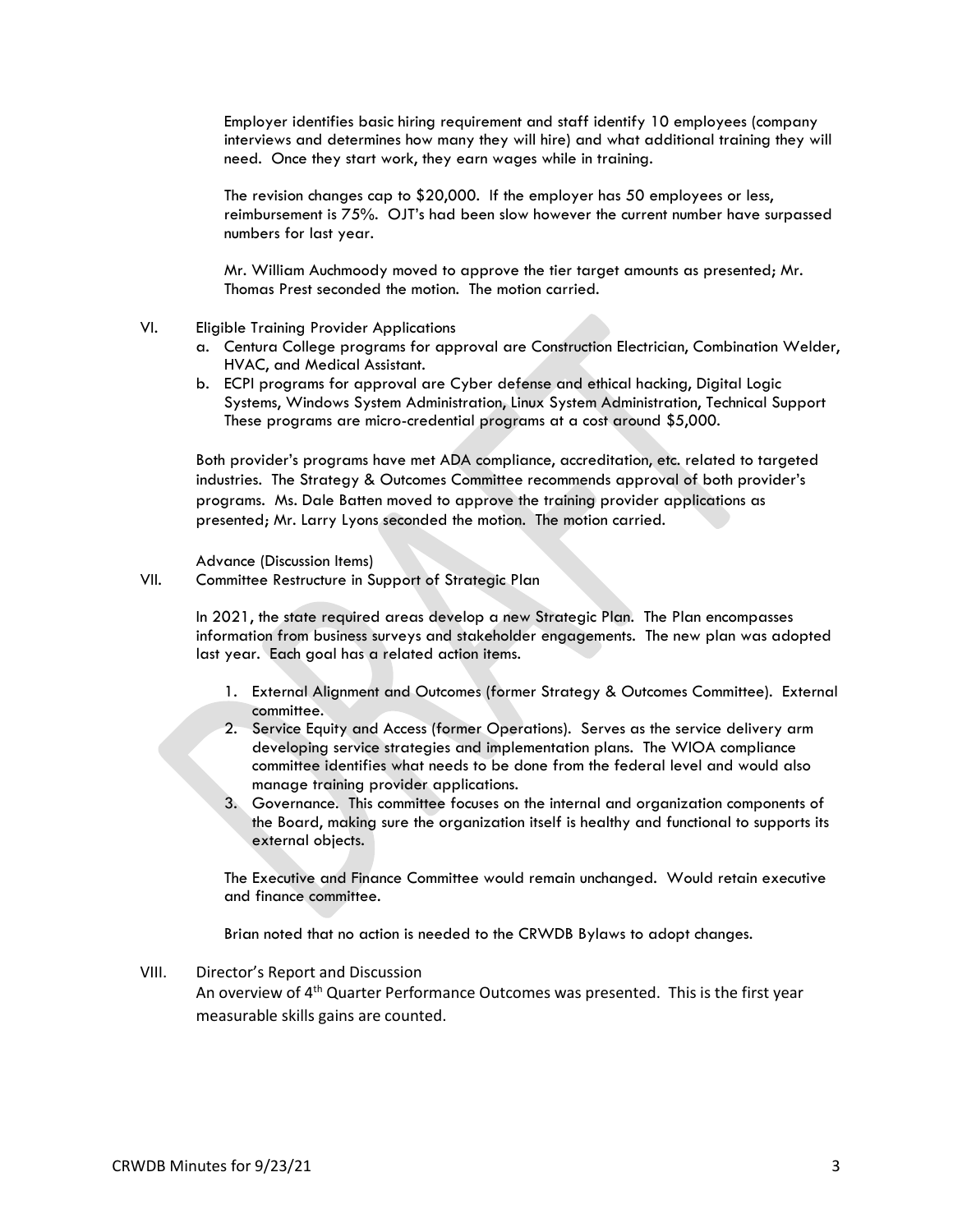Employer identifies basic hiring requirement and staff identify 10 employees (company interviews and determines how many they will hire) and what additional training they will need. Once they start work, they earn wages while in training.

The revision changes cap to \$20,000. If the employer has 50 employees or less, reimbursement is 75%. OJT's had been slow however the current number have surpassed numbers for last year.

Mr. William Auchmoody moved to approve the tier target amounts as presented; Mr. Thomas Prest seconded the motion. The motion carried.

- VI. Eligible Training Provider Applications
	- a. Centura College programs for approval are Construction Electrician, Combination Welder, HVAC, and Medical Assistant.
	- b. ECPI programs for approval are Cyber defense and ethical hacking, Digital Logic Systems, Windows System Administration, Linux System Administration, Technical Support These programs are micro-credential programs at a cost around \$5,000.

Both provider's programs have met ADA compliance, accreditation, etc. related to targeted industries. The Strategy & Outcomes Committee recommends approval of both provider's programs. Ms. Dale Batten moved to approve the training provider applications as presented; Mr. Larry Lyons seconded the motion. The motion carried.

Advance (Discussion Items)

VII. Committee Restructure in Support of Strategic Plan

In 2021, the state required areas develop a new Strategic Plan. The Plan encompasses information from business surveys and stakeholder engagements. The new plan was adopted last year. Each goal has a related action items.

- 1. External Alignment and Outcomes (former Strategy & Outcomes Committee). External committee.
- 2. Service Equity and Access (former Operations). Serves as the service delivery arm developing service strategies and implementation plans. The WIOA compliance committee identifies what needs to be done from the federal level and would also manage training provider applications.
- 3. Governance. This committee focuses on the internal and organization components of the Board, making sure the organization itself is healthy and functional to supports its external objects.

The Executive and Finance Committee would remain unchanged. Would retain executive and finance committee.

Brian noted that no action is needed to the CRWDB Bylaws to adopt changes.

VIII. Director's Report and Discussion

An overview of 4<sup>th</sup> Quarter Performance Outcomes was presented. This is the first year measurable skills gains are counted.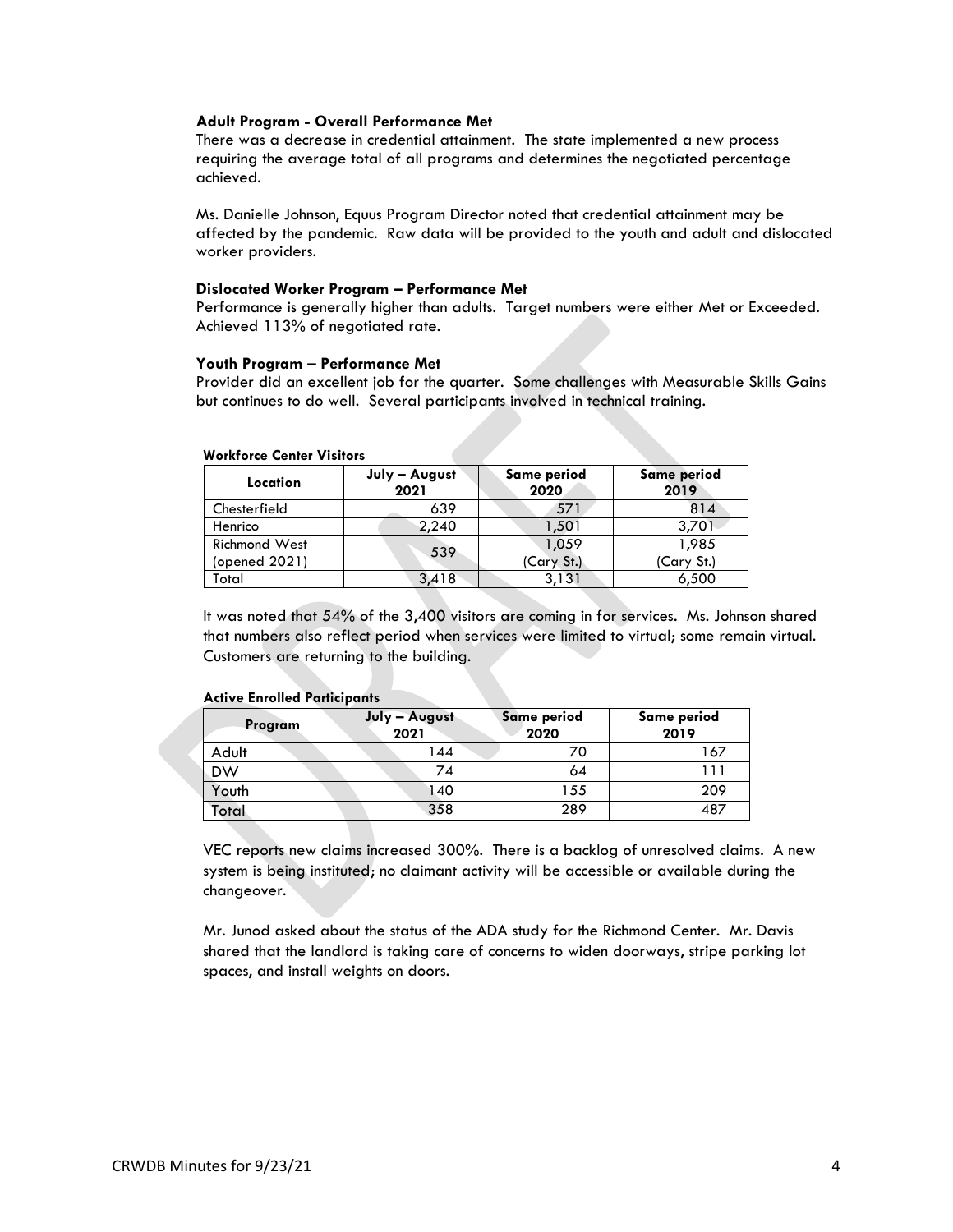## **Adult Program - Overall Performance Met**

There was a decrease in credential attainment. The state implemented a new process requiring the average total of all programs and determines the negotiated percentage achieved.

Ms. Danielle Johnson, Equus Program Director noted that credential attainment may be affected by the pandemic. Raw data will be provided to the youth and adult and dislocated worker providers.

### **Dislocated Worker Program – Performance Met**

Performance is generally higher than adults. Target numbers were either Met or Exceeded. Achieved 113% of negotiated rate.

### **Youth Program – Performance Met**

Provider did an excellent job for the quarter. Some challenges with Measurable Skills Gains but continues to do well. Several participants involved in technical training.

| Location             | July - August<br>2021 | Same period<br>2020 | Same period<br>2019 |
|----------------------|-----------------------|---------------------|---------------------|
| Chesterfield         | 639                   | 571                 | 814                 |
| Henrico              | 2,240                 | 1,501               | 3,701               |
| <b>Richmond West</b> | 539                   | 1,059               | 1,985               |
| (opened 2021)        |                       | (Cary St.)          | (Cary St.)          |
| Total                | 3,418                 | 3,131               | 6,500               |

#### **Workforce Center Visitors**

It was noted that 54% of the 3,400 visitors are coming in for services. Ms. Johnson shared that numbers also reflect period when services were limited to virtual; some remain virtual. Customers are returning to the building.

#### **Active Enrolled Participants**

| Program   | July - August<br>2021 | <b>Same period</b><br>2020 | Same period<br>2019 |  |
|-----------|-----------------------|----------------------------|---------------------|--|
| Adult     | 144                   | 70                         | 167                 |  |
| <b>DW</b> | 74                    | 64                         | l 1 1               |  |
| Youth     | 140                   | 155                        | 209                 |  |
| Total     | 358                   | 289                        | 487                 |  |

VEC reports new claims increased 300%. There is a backlog of unresolved claims. A new system is being instituted; no claimant activity will be accessible or available during the changeover.

Mr. Junod asked about the status of the ADA study for the Richmond Center. Mr. Davis shared that the landlord is taking care of concerns to widen doorways, stripe parking lot spaces, and install weights on doors.